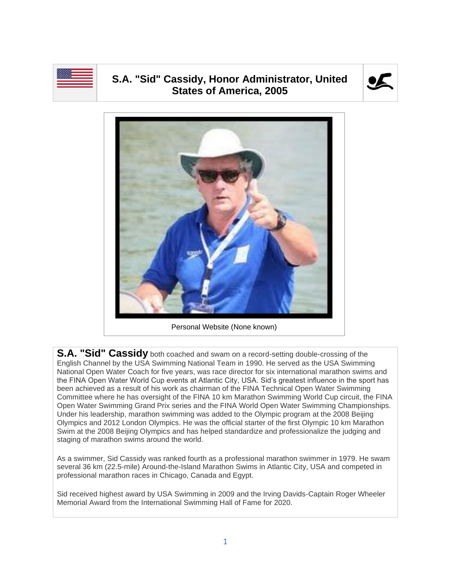

## **S.A. "Sid" Cassidy, Honor Administrator, United States of America, 2005**





Personal Website (None known)

**S.A. "Sid" Cassidy** both coached and swam on a record-setting double-crossing of the English Channel by the USA Swimming National Team in 1990. He served as the USA Swimming National Open Water Coach for five years, was race director for six international marathon swims and the FINA Open Water World Cup events at Atlantic City, USA. Sid's greatest influence in the sport has been achieved as a result of his work as chairman of the FINA Technical Open Water Swimming Committee where he has oversight of the FINA 10 km Marathon Swimming World Cup circuit, the FINA Open Water Swimming Grand Prix series and the FINA World Open Water Swimming Championships. Under his leadership, marathon swimming was added to the Olympic program at the 2008 Beijing Olympics and 2012 London Olympics. He was the official starter of the first Olympic 10 km Marathon Swim at the 2008 Beijing Olympics and has helped standardize and professionalize the judging and staging of marathon swims around the world.

As a swimmer, Sid Cassidy was ranked fourth as a professional marathon swimmer in 1979. He swam several 36 km (22.5-mile) Around-the-Island Marathon Swims in Atlantic City, USA and competed in professional marathon races in Chicago, Canada and Egypt.

Sid received highest award by USA Swimming in 2009 and the Irving Davids-Captain Roger Wheeler Memorial Award from the International Swimming Hall of Fame for 2020.